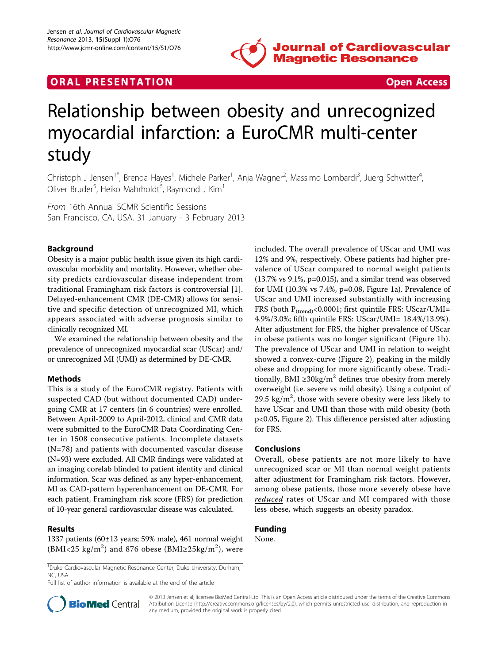

# **ORAL PRESENTATION CONSUMING ACCESS**



# Relationship between obesity and unrecognized myocardial infarction: a EuroCMR multi-center study

Christoph J Jensen<sup>1\*</sup>, Brenda Hayes<sup>1</sup>, Michele Parker<sup>1</sup>, Anja Wagner<sup>2</sup>, Massimo Lombardi<sup>3</sup>, Juerg Schwitter<sup>4</sup> , Oliver Bruder<sup>5</sup>, Heiko Mahrholdt<sup>6</sup>, Raymond J Kim<sup>1</sup>

From 16th Annual SCMR Scientific Sessions San Francisco, CA, USA. 31 January - 3 February 2013

## Background

Obesity is a major public health issue given its high cardiovascular morbidity and mortality. However, whether obesity predicts cardiovascular disease independent from traditional Framingham risk factors is controversial [[1](#page-2-0)]. Delayed-enhancement CMR (DE-CMR) allows for sensitive and specific detection of unrecognized MI, which appears associated with adverse prognosis similar to clinically recognized MI.

We examined the relationship between obesity and the prevalence of unrecognized myocardial scar (UScar) and/ or unrecognized MI (UMI) as determined by DE-CMR.

## Methods

This is a study of the EuroCMR registry. Patients with suspected CAD (but without documented CAD) undergoing CMR at 17 centers (in 6 countries) were enrolled. Between April-2009 to April-2012, clinical and CMR data were submitted to the EuroCMR Data Coordinating Center in 1508 consecutive patients. Incomplete datasets (N=78) and patients with documented vascular disease (N=93) were excluded. All CMR findings were validated at an imaging corelab blinded to patient identity and clinical information. Scar was defined as any hyper-enhancement, MI as CAD-pattern hyperenhancement on DE-CMR. For each patient, Framingham risk score (FRS) for prediction of 10-year general cardiovascular disease was calculated.

#### Results

1337 patients (60±13 years; 59% male), 461 normal weight (BMI<25 kg/m<sup>2</sup>) and 876 obese (BMI≥25kg/m<sup>2</sup>), were

included. The overall prevalence of UScar and UMI was 12% and 9%, respectively. Obese patients had higher prevalence of UScar compared to normal weight patients (13.7% vs 9.1%, p=0.015), and a similar trend was observed for UMI (10.3% vs 7.4%, p=0.08, Figure [1a](#page-1-0)). Prevalence of UScar and UMI increased substantially with increasing FRS (both  $P_{(trend)} < 0.0001$ ; first quintile FRS: UScar/UMI= 4.9%/3.0%; fifth quintile FRS: UScar/UMI= 18.4%/13.9%). After adjustment for FRS, the higher prevalence of UScar in obese patients was no longer significant (Figure [1b](#page-1-0)). The prevalence of UScar and UMI in relation to weight showed a convex-curve (Figure [2](#page-2-0)), peaking in the mildly obese and dropping for more significantly obese. Traditionally, BMI ≥30kg/m<sup>2</sup> defines true obesity from merely overweight (i.e. severe vs mild obesity). Using a cutpoint of 29.5  $\text{kg/m}^2$ , those with severe obesity were less likely to have UScar and UMI than those with mild obesity (both p<0.05, Figure [2](#page-2-0)). This difference persisted after adjusting for FRS.

#### Conclusions

Overall, obese patients are not more likely to have unrecognized scar or MI than normal weight patients after adjustment for Framingham risk factors. However, among obese patients, those more severely obese have reduced rates of UScar and MI compared with those less obese, which suggests an obesity paradox.

# Funding

None.

Full list of author information is available at the end of the article



© 2013 Jensen et al; licensee BioMed Central Ltd. This is an Open Access article distributed under the terms of the Creative Commons Attribution License [\(http://creativecommons.org/licenses/by/2.0](http://creativecommons.org/licenses/by/2.0)), which permits unrestricted use, distribution, and reproduction in any medium, provided the original work is properly cited.

<sup>&</sup>lt;sup>1</sup>Duke Cardiovascular Magnetic Resonance Center, Duke University, Durham, NC, USA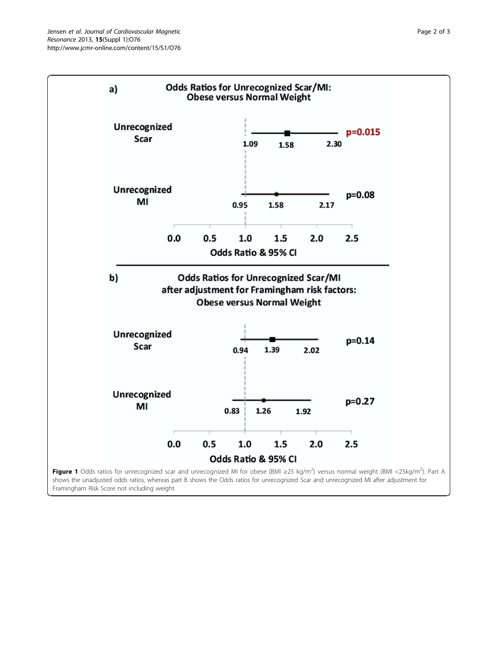<span id="page-1-0"></span>

Framingham Risk Score not including weight.